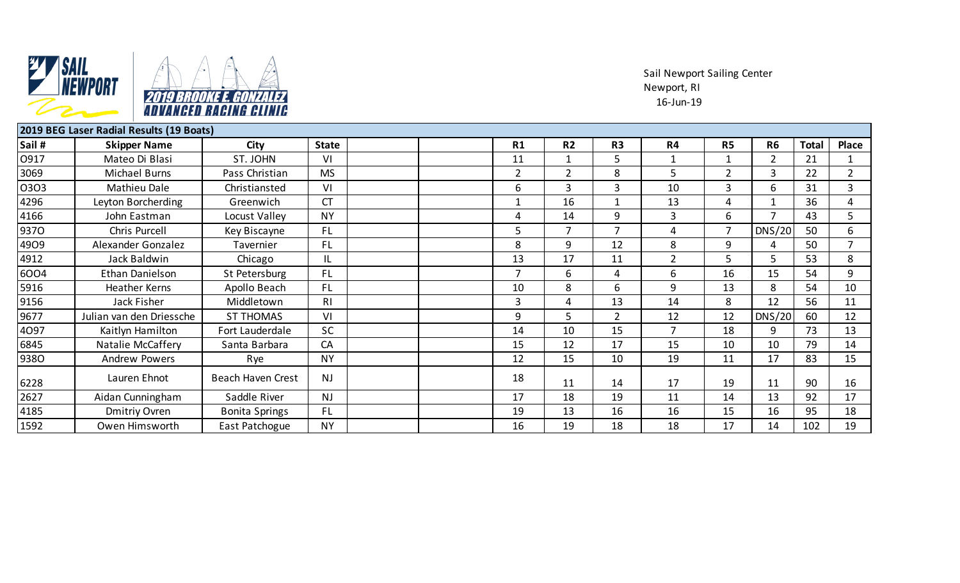

Sail Newport Sailing Center Newport, RI 16-Jun-19

|        | 2019 BEG Laser Radial Results (19 Boats) |                          |              |                |                |                |                |                |                |              |                |
|--------|------------------------------------------|--------------------------|--------------|----------------|----------------|----------------|----------------|----------------|----------------|--------------|----------------|
| Sail # | <b>Skipper Name</b>                      | City                     | <b>State</b> | R1             | R <sub>2</sub> | R <sub>3</sub> | R4             | R <sub>5</sub> | <b>R6</b>      | <b>Total</b> | Place          |
| 0917   | Mateo Di Blasi                           | ST. JOHN                 | VI           | 11             | 1              | 5              | $\mathbf{1}$   |                | $\overline{2}$ | 21           | 1              |
| 3069   | Michael Burns                            | Pass Christian           | <b>MS</b>    | $\overline{2}$ | $\overline{2}$ | 8              | 5              | $\overline{2}$ | 3              | 22           | $\overline{2}$ |
| 0303   | Mathieu Dale                             | Christiansted            | VI           | 6              | 3              | 3              | 10             | 3              | 6              | 31           | 3              |
| 4296   | Leyton Borcherding                       | Greenwich                | <b>CT</b>    | 1              | 16             | 1              | 13             | 4              | 1              | 36           | 4              |
| 4166   | John Eastman                             | Locust Valley            | <b>NY</b>    | 4              | 14             | 9              | 3              | 6              | $\overline{7}$ | 43           | 5              |
| 9370   | Chris Purcell                            | Key Biscayne             | FL.          | 5              | $\overline{7}$ | 7              | 4              | $\overline{7}$ | DNS/20         | 50           | 6              |
| 4909   | Alexander Gonzalez                       | Tavernier                | FL.          | 8              | 9              | 12             | 8              | 9              | 4              | 50           |                |
| 4912   | Jack Baldwin                             | Chicago                  | IL           | 13             | 17             | 11             | $\overline{2}$ | 5              | 5              | 53           | 8              |
| 6004   | Ethan Danielson                          | St Petersburg            | <b>FL</b>    |                | 6              | 4              | 6              | 16             | 15             | 54           | 9              |
| 5916   | <b>Heather Kerns</b>                     | Apollo Beach             | FL.          | 10             | 8              | 6              | 9              | 13             | 8              | 54           | 10             |
| 9156   | Jack Fisher                              | Middletown               | RI           | $\overline{3}$ | 4              | 13             | 14             | 8              | 12             | 56           | 11             |
| 9677   | Julian van den Driessche                 | <b>ST THOMAS</b>         | VI           | 9              | 5              | $\overline{2}$ | 12             | 12             | <b>DNS/20</b>  | 60           | 12             |
| 4097   | Kaitlyn Hamilton                         | Fort Lauderdale          | <b>SC</b>    | 14             | 10             | 15             | $\overline{7}$ | 18             | 9              | 73           | 13             |
| 6845   | Natalie McCaffery                        | Santa Barbara            | CA           | 15             | 12             | 17             | 15             | 10             | 10             | 79           | 14             |
| 9380   | <b>Andrew Powers</b>                     | Rye                      | <b>NY</b>    | 12             | 15             | 10             | 19             | 11             | 17             | 83           | 15             |
| 6228   | Lauren Ehnot                             | <b>Beach Haven Crest</b> | <b>NJ</b>    | 18             | 11             | 14             | 17             | 19             | 11             | 90           | 16             |
| 2627   | Aidan Cunningham                         | Saddle River             | <b>NJ</b>    | 17             | 18             | 19             | 11             | 14             | 13             | 92           | 17             |
| 4185   | Dmitriy Ovren                            | <b>Bonita Springs</b>    | FL.          | 19             | 13             | 16             | 16             | 15             | 16             | 95           | 18             |
| 1592   | Owen Himsworth                           | East Patchogue           | <b>NY</b>    | 16             | 19             | 18             | 18             | 17             | 14             | 102          | 19             |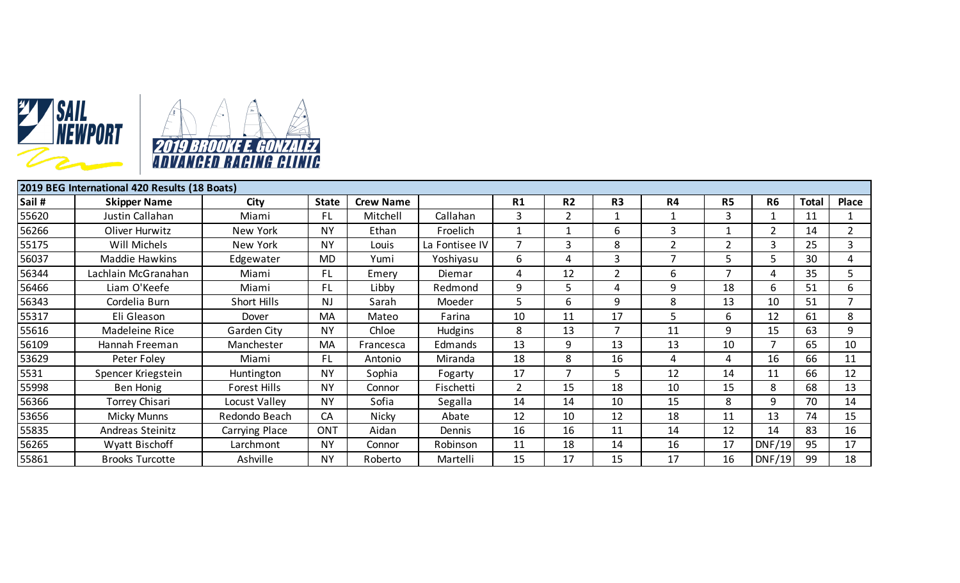



| 2019 BEG International 420 Results (18 Boats) |                        |                     |                |                  |                |                |                |                |                |                |                |              |                |
|-----------------------------------------------|------------------------|---------------------|----------------|------------------|----------------|----------------|----------------|----------------|----------------|----------------|----------------|--------------|----------------|
| Sail #                                        | <b>Skipper Name</b>    | City                | <b>State</b>   | <b>Crew Name</b> |                | R1             | R <sub>2</sub> | R <sub>3</sub> | R4             | R <sub>5</sub> | <b>R6</b>      | <b>Total</b> | <b>Place</b>   |
| 55620                                         | Justin Callahan        | Miami               | <b>FL</b>      | Mitchell         | Callahan       | 3              | $\overline{2}$ | 1              |                | 3              |                | 11           |                |
| 56266                                         | Oliver Hurwitz         | New York            | <b>NY</b>      | Ethan            | Froelich       |                |                | 6              | 3              |                | $\overline{2}$ | 14           | $\overline{2}$ |
| 55175                                         | Will Michels           | New York            | <b>NY</b>      | Louis            | La Fontisee IV | 7              | 3              | 8              | $\overline{2}$ | 2              | 3              | 25           | 3              |
| 56037                                         | Maddie Hawkins         | Edgewater           | <b>MD</b>      | Yumi             | Yoshiyasu      | 6              | 4              | 3              |                | C.             | 5              | 30           | 4              |
| 56344                                         | Lachlain McGranahan    | Miami               | FL.            | Emery            | Diemar         | 4              | 12             | $\overline{2}$ | 6              | 7              | 4              | 35           | 5              |
| 56466                                         | Liam O'Keefe           | Miami               | FL.            | Libby            | Redmond        | 9              | כ              | 4              | 9              | 18             | 6.             | 51           | 6              |
| 56343                                         | Cordelia Burn          | Short Hills         | N <sub>J</sub> | Sarah            | Moeder         | 5              | 6              | 9              | 8              | 13             | 10             | 51           | 7              |
| 55317                                         | Eli Gleason            | Dover               | <b>MA</b>      | Mateo            | Farina         | 10             | 11             | 17             | 5              | 6              | 12             | 61           | 8              |
| 55616                                         | Madeleine Rice         | Garden City         | <b>NY</b>      | Chloe            | Hudgins        | 8              | 13             | 7              | 11             | 9              | 15             | 63           | 9              |
| 56109                                         | Hannah Freeman         | Manchester          | MA             | Francesca        | Edmands        | 13             | 9              | 13             | 13             | 10             | 7              | 65           | 10             |
| 53629                                         | Peter Foley            | Miami               | FL             | Antonio          | Miranda        | 18             | 8              | 16             | 4              | 4              | 16             | 66           | 11             |
| 5531                                          | Spencer Kriegstein     | Huntington          | <b>NY</b>      | Sophia           | Fogarty        | 17             | 7              | 5.             | 12             | 14             | 11             | 66           | 12             |
| 55998                                         | Ben Honig              | <b>Forest Hills</b> | <b>NY</b>      | Connor           | Fischetti      | $\overline{2}$ | 15             | 18             | 10             | 15             | 8              | 68           | 13             |
| 56366                                         | <b>Torrey Chisari</b>  | Locust Valley       | <b>NY</b>      | Sofia            | Segalla        | 14             | 14             | 10             | 15             | 8              | 9              | 70           | 14             |
| 53656                                         | Micky Munns            | Redondo Beach       | CA             | <b>Nicky</b>     | Abate          | 12             | 10             | 12             | 18             | 11             | 13             | 74           | 15             |
| 55835                                         | Andreas Steinitz       | Carrying Place      | <b>ONT</b>     | Aidan            | Dennis         | 16             | 16             | 11             | 14             | 12             | 14             | 83           | 16             |
| 56265                                         | Wyatt Bischoff         | Larchmont           | <b>NY</b>      | Connor           | Robinson       | 11             | 18             | 14             | 16             | 17             | DNF/19         | 95           | 17             |
| 55861                                         | <b>Brooks Turcotte</b> | Ashville            | <b>NY</b>      | Roberto          | Martelli       | 15             | 17             | 15             | 17             | 16             | DNF/19         | 99           | 18             |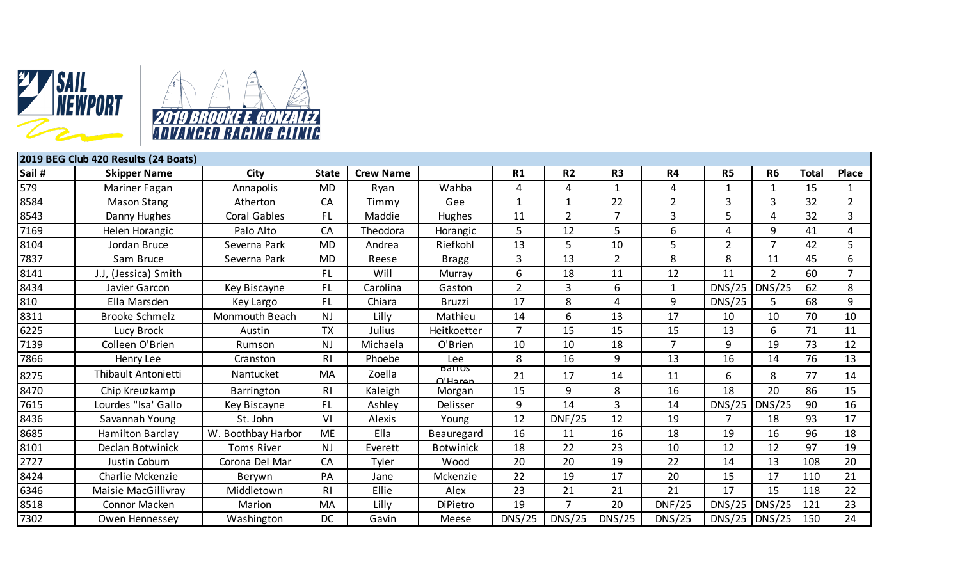

| 2019 BEG Club 420 Results (24 Boats) |                            |                    |              |                  |                           |                 |                |                |                |                |                |              |                |
|--------------------------------------|----------------------------|--------------------|--------------|------------------|---------------------------|-----------------|----------------|----------------|----------------|----------------|----------------|--------------|----------------|
| Sail #                               | <b>Skipper Name</b>        | City               | <b>State</b> | <b>Crew Name</b> |                           | R1              | R <sub>2</sub> | R <sub>3</sub> | R4             | <b>R5</b>      | R <sub>6</sub> | <b>Total</b> | <b>Place</b>   |
| 579                                  | Mariner Fagan              | Annapolis          | <b>MD</b>    | Ryan             | Wahba                     | 4               | 4              | $\mathbf{1}$   | 4              |                |                | 15           | -1             |
| 8584                                 | <b>Mason Stang</b>         | Atherton           | CA           | Timmy            | Gee                       | $\mathbf 1$     | $\mathbf{1}$   | 22             | $\overline{2}$ | 3              | 3              | 32           | $\overline{2}$ |
| 8543                                 | Danny Hughes               | Coral Gables       | <b>FL</b>    | Maddie           | Hughes                    | 11              | $\overline{2}$ | $\overline{7}$ | 3              | 5              | 4              | 32           | 3              |
| 7169                                 | Helen Horangic             | Palo Alto          | CA           | Theodora         | Horangic                  | 5               | 12             | 5              | 6              | 4              | 9              | 41           | 4              |
| 8104                                 | Jordan Bruce               | Severna Park       | <b>MD</b>    | Andrea           | Riefkohl                  | 13              | 5              | 10             | 5              | $\overline{2}$ | $\overline{7}$ | 42           | 5              |
| 7837                                 | Sam Bruce                  | Severna Park       | MD           | Reese            | <b>Bragg</b>              | $\overline{3}$  | 13             | $\overline{2}$ | 8              | 8              | 11             | 45           | 6              |
| 8141                                 | J.J, (Jessica) Smith       |                    | <b>FL</b>    | Will             | Murray                    | $6\phantom{1}6$ | 18             | 11             | 12             | 11             | $\overline{2}$ | 60           | $\overline{7}$ |
| 8434                                 | Javier Garcon              | Key Biscayne       | <b>FL</b>    | Carolina         | Gaston                    | $\overline{2}$  | 3              | 6              | $\mathbf{1}$   | DNS/25         | DNS/25         | 62           | 8              |
| 810                                  | Ella Marsden               | Key Largo          | <b>FL</b>    | Chiara           | <b>Bruzzi</b>             | 17              | 8              | $\overline{4}$ | 9              | DNS/25         |                | 68           | 9              |
| 8311                                 | <b>Brooke Schmelz</b>      | Monmouth Beach     | <b>NJ</b>    | Lilly            | Mathieu                   | 14              | 6              | 13             | 17             | 10             | 10             | 70           | 10             |
| 6225                                 | Lucy Brock                 | Austin             | <b>TX</b>    | Julius           | Heitkoetter               | $\overline{7}$  | 15             | 15             | 15             | 13             | 6              | 71           | 11             |
| 7139                                 | Colleen O'Brien            | Rumson             | <b>NJ</b>    | Michaela         | O'Brien                   | 10              | 10             | 18             | $\overline{7}$ | 9              | 19             | 73           | 12             |
| 7866                                 | Henry Lee                  | Cranston           | RI           | Phoebe           | Lee                       | 8               | 16             | 9              | 13             | 16             | 14             | 76           | 13             |
| 8275                                 | <b>Thibault Antonietti</b> | Nantucket          | <b>MA</b>    | Zoella           | Barros<br>$\bigcap$ Haran | 21              | 17             | 14             | 11             | 6              | 8              | 77           | 14             |
| 8470                                 | Chip Kreuzkamp             | Barrington         | R١           | Kaleigh          | Morgan                    | 15              | 9              | 8              | 16             | 18             | 20             | 86           | 15             |
| 7615                                 | Lourdes "Isa' Gallo        | Key Biscayne       | FL.          | Ashley           | Delisser                  | 9               | 14             | 3              | 14             | DNS/25         | DNS/25         | 90           | 16             |
| 8436                                 | Savannah Young             | St. John           | VI           | <b>Alexis</b>    | Young                     | 12              | <b>DNF/25</b>  | 12             | 19             |                | 18             | 93           | 17             |
| 8685                                 | <b>Hamilton Barclay</b>    | W. Boothbay Harbor | <b>ME</b>    | Ella             | Beauregard                | 16              | 11             | 16             | 18             | 19             | 16             | 96           | 18             |
| 8101                                 | <b>Declan Botwinick</b>    | <b>Toms River</b>  | <b>NJ</b>    | Everett          | <b>Botwinick</b>          | 18              | 22             | 23             | 10             | 12             | 12             | 97           | 19             |
| 2727                                 | Justin Coburn              | Corona Del Mar     | CA           | Tyler            | Wood                      | 20              | 20             | 19             | 22             | 14             | 13             | 108          | 20             |
| 8424                                 | Charlie Mckenzie           | Berywn             | PA           | Jane             | Mckenzie                  | 22              | 19             | 17             | 20             | 15             | 17             | 110          | 21             |
| 6346                                 | Maisie MacGillivray        | Middletown         | RI           | Ellie            | Alex                      | 23              | 21             | 21             | 21             | 17             | 15             | 118          | 22             |
| 8518                                 | Connor Macken              | Marion             | MA           | Lilly            | <b>DiPietro</b>           | 19              | 7              | 20             | <b>DNF/25</b>  | DNS/25         | DNS/25         | 121          | 23             |
| 7302                                 | Owen Hennessey             | Washington         | <b>DC</b>    | Gavin            | Meese                     | DNS/25          | DNS/25         | DNS/25         | DNS/25         | DNS/25         | DNS/25         | 150          | 24             |